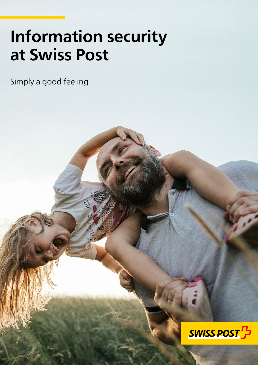# **Information security at Swiss Post**

Simply a good feeling

2020-072 (InfoSec) 05.2021

**Post CH Ltd** 

**Tel. +41 848 888 888 E-mail post@swisspost.ch** 

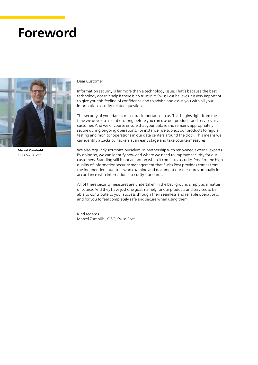## **Foreword**



**Marcel Zumbühl** CISO, Swiss Post

#### Dear Customer

Information security is far more than a technology issue. That's because the best technology doesn't help if there is no trust in it. Swiss Post believes it is very important to give you this feeling of confidence and to advise and assist you with all your information security-related questions.

The security of your data is of central importance to us. This begins right from the time we develop a solution, long before you can use our products and services as a customer. And we of course ensure that your data is and remains appropriately secure during ongoing operations. For instance, we subject our products to regular testing and monitor operations in our data centers around the clock. This means we can identify attacks by hackers at an early stage and take countermeasures.

We also regularly scrutinize ourselves, in partnership with renowned external experts. By doing so, we can identify how and where we need to improve security for our customers. Standing still is not an option when it comes to security. Proof of the high quality of information security management that Swiss Post provides comes from the independent auditors who examine and document our measures annually in accordance with international security standards.

All of these security measures are undertaken in the background simply as a matter of course. And they have just one goal, namely for our products and services to be able to contribute to your success through their seamless and reliable operations, and for you to feel completely safe and secure when using them.

Kind regards Marcel Zumbühl, CISO, Swiss Post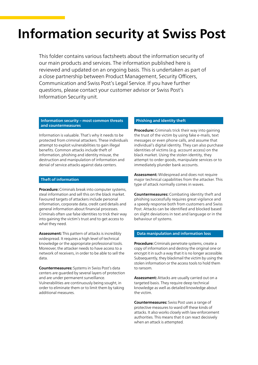## **Information security at Swiss Post**

This folder contains various factsheets about the information security of our main products and services. The information published here is reviewed and updated on an ongoing basis. This is undertaken as part of a close partnership between Product Management, Security Officers, Communication and Swiss Post's Legal Service. If you have further questions, please contact your customer advisor or Swiss Post's Information Security unit.

#### **Information security – most common threats and countermeasures**

Information is valuable. That's why it needs to be protected from criminal attackers. These individuals attempt to exploit vulnerabilities to gain illegal benefits. Common attacks include theft of information, phishing and identity misuse, the destruction and manipulation of information and denial of service attacks against data centers.

#### **Theft of information**

**Procedure:** Criminals break into computer systems, steal information and sell this on the black market. Favoured targets of attackers include personal information, corporate data, credit card details and general information about financial processes. Criminals often use false identities to trick their way into gaining the victim's trust and to get access to what they need.

**Assessment:** This pattern of attacks is incredibly widespread. It requires a high level of technical knowledge or the appropriate professional tools. Moreover, the attacker needs to have access to a network of receivers, in order to be able to sell the data.

**Countermeasures:** Systems in Swiss Post's data centers are guarded by several layers of protection and are under permanent surveillance. Vulnerabilities are continuously being sought, in order to eliminate them or to limit them by taking additional measures.

#### **Phishing and identity theft**

**Procedure:** Criminals trick their way into gaining the trust of the victim by using fake e-mails, text messages or even phone calls, and assume that individual's digital identity. They can also purchase identities of victims (e.g. account access) on the black market. Using the stolen identity, they attempt to order goods, manipulate services or to immediately plunder bank accounts.

**Assessment:** Widespread and does not require major technical capabilities from the attacker. This type of attack normally comes in waves.

**Countermeasures:** Combating identity theft and phishing successfully requires great vigilance and a speedy response both from customers and Swiss Post. Attacks can be identified and blocked based on slight deviations in text and language or in the behaviour of systems.

#### **Data manipulation and information loss**

**Procedure:** Criminals penetrate systems, create a copy of information and destroy the original one or encrypt it in such a way that it is no longer accessible. Subsequently, they blackmail the victim by using the stolen information or the access tools to hold them to ransom.

**Assessment:** Attacks are usually carried out on a targeted basis. They require deep technical knowledge as well as detailed knowledge about the victim.

**Countermeasures:** Swiss Post uses a range of protective measures to ward off these kinds of attacks. It also works closely with law enforcement authorities. This means that it can react decisively when an attack is attempted.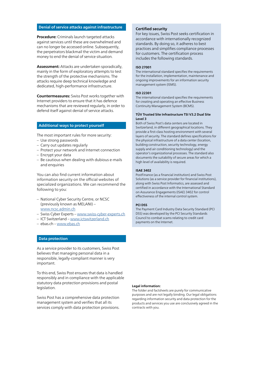#### **Denial of service attacks against infrastructure**

**Procedure:** Criminals launch targeted attacks against services until these are overwhelmed and can no longer be accessed online. Subsequently, the perpetrators blackmail the victim and demand money to end the denial of service situation.

**Assessment:** Attacks are undertaken sporadically, mainly in the form of exploratory attempts to test the strength of the protective mechanisms. The attacks require deep technical knowledge and dedicated, high-performance infrastructure.

**Countermeasures:** Swiss Post works together with Internet providers to ensure that it has defence mechanisms that are reviewed regularly, in order to defend itself against denial of service attacks.

#### **Additional ways to protect yourself**

The most important rules for more security:

- Use strong passwords
- Carry out updates regularly
- Protect your network and Internet connection
- Encrypt your data
- Be cautious when dealing with dubious e-mails and enquiries

You can also find current information about information security on the official websites of specialized organizations. We can recommend the following to you:

- National Cyber Security Centre, or NCSC (previously known as MELANI) – [www.ncsc.admin.ch](https://www.ncsc.admin.ch/ncsc/en/home.html)
- Swiss Cyber Experts – [www.swiss-cyber-experts.ch](http://www.swiss-cyber-experts.ch)
- ICT Switzerland – [www.ictswitzerland.ch](https://ictswitzerland.ch/en/)
- ebas.ch – [www.ebas.ch](https://www.ebas.ch/en/)

#### **Data protection**

As a service provider to its customers, Swiss Post believes that managing personal data in a responsible, legally-compliant manner is very important.

To this end, Swiss Post ensures that data is handled responsibly and in compliance with the applicable statutory data protection provisions and postal legislation.

Swiss Post has a comprehensive data protection management system and verifies that all its services comply with data protection provisions.

#### **Certified security**

For key issues, Swiss Post seeks certification in accordance with internationally recognized standards. By doing so, it adheres to best practices and simplifies compliance processes for customers. The certification process includes the following standards.

#### **ISO 27001**

The international standard specifies the requirements for the installation, implementation, maintenance and ongoing improvements for an information security management system (ISMS).

#### **ISO 22301**

The international standard specifies the requirements for creating and operating an effective Business Continuity Management System (BCMS).

#### **TÜV Trusted Site Infrastructure TSI V3.2 Dual Site Level 3**

Both of Swiss Post's data centers are located in Switzerland, in different geographical locations. They provide a first-class hosting environment with several layers of security. The standard defines specifications for the physical infrastructure of a data center (location, building construction, security technology, energy supply and air conditioning technology) and the operator's organizational processes. The standard also documents the suitability of secure areas for which a high level of availability is required.

#### **ISAE 3402**

PostFinance (as a financial institution) and Swiss Post Solutions (as a service provider for financial institutions), along with Swiss Post Informatics, are assessed and certified in accordance with the International Standard on Assurance Engagements (ISAE) 3402 for control effectiveness of the internal control system.

#### **PCI DSS**

The Payment Card Industry Data Security Standard (PCI DSS) was developed by the PCI Security Standards Council to combat scams relating to credit card payments on the Internet.

#### **Legal information:**

The folder and factsheets are purely for communicative purposes and are not legally binding. Our legal obligations regarding information security and data protection for the products and services you use are conclusively agreed in the contracts with you.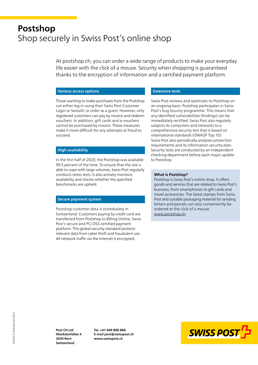## **Postshop** Shop securely in Swiss Post's online shop

At postshop.ch, you can order a wide range of products to make your everyday life easier with the click of a mouse. Security when shopping is guaranteed thanks to the encryption of information and a certified payment platform.

#### **Various access options**

Those wanting to make purchases from the Postshop can either log in using their Swiss Post Customer Login or SwissID, or order as a guest. However, only registered customers can pay by invoice and redeem vouchers. In addition, gift cards and e-vouchers cannot be purchased by invoice. These measures make it more difficult for any attempts at fraud to succeed.

#### **High availability**

In the first half of 2020, the Postshop was available 99.5 percent of the time. To ensure that the site is able to cope with large volumes, Swiss Post regularly conducts stress tests. It also actively monitors availability and checks whether the specified benchmarks are upheld.

#### **Secure payment system**

Postshop customer data is storedsolely in Switzerland. Customers paying by credit card are transferred from Postshop to Billing-Online, Swiss Post's secure and PCI DSS-certified payment platform. This global security standard protects relevant data from cyber theft and fraudulent use. All network traffic via the Internet is encrypted.

#### **Extensive tests**

Swiss Post reviews and optimizes its Postshop on an ongoing basis. Postshop participates in Swiss Post's bug bounty programme. This means that any identified vulnerabilities (findings) can be immediately rectified. Swiss Post also regularly subjects its computers and networks to a comprehensive security test that is based on international standards (OWASP Top 10). Swiss Post also periodically analyses protection requirements and its information security plan. Security tests are conducted by an independent checking department before each major update to Postshop.

#### **What is Postshop?**

Postshop is Swiss Post's online shop. It offers goods and services that are related to Swiss Post's business, from smartphones to gift cards and travel accessories. The latest stamps from Swiss Post and suitable packaging material for sending letters and parcels can also conveniently be ordered at the click of a mouse. [www.postshop.ch](http://www.postshop.ch)

2020-072 (InfoSec) 05.2021 2020-072 (InfoSec) 05.2021

**Post CH Ltd Wankdorfallee 4 3030 Bern Switzerland**

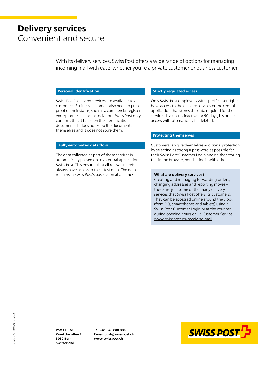## **Delivery services** Convenient and secure

With its delivery services, Swiss Post offers a wide range of options for managing incoming mail with ease, whether you're a private customer or business customer.

#### **Personal identification**

Swiss Post's delivery services are available to all customers. Business customers also need to present proof of their status, such as a commercial register excerpt or articles of association. Swiss Post only confirms that it has seen the identification documents. It does not keep the documents themselves and it does not store them.

#### **Fully-automated data flow**

The data collected as part of these services is automatically passed on to a central application at Swiss Post. This ensures that all relevant services always have access to the latest data. The data remains in Swiss Post's possession at all times.

#### **Strictly regulated access**

Only Swiss Post employees with specific user rights have access to the delivery services or the central application that stores the data required for the services. If a user is inactive for 90 days, his or her access will automatically be deleted.

#### **Protecting themselves**

Customers can give themselves additional protection by selecting as strong a password as possible for their Swiss Post Customer Login and neither storing this in the browser, nor sharing it with others.

#### **What are delivery services?**

Creating and managing forwarding orders, changing addresses and reporting moves – these are just some of the many delivery services that Swiss Post offers its customers. They can be accessed online around the clock (from PCs, smartphones and tablets) using a Swiss Post Customer Login or at the counter during opening hours or via Customer Service. [www.swisspost.ch/receiving-mail](http://www.swisspost.ch/receiving-mail)

**Post CH Ltd Wankdorfallee 4 3030 Bern Switzerland**

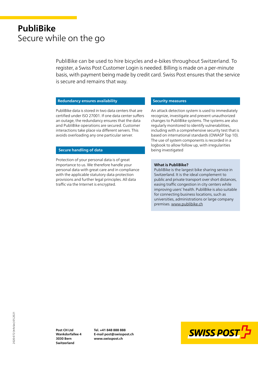## **PubliBike** Secure while on the go

PubliBike can be used to hire bicycles and e-bikes throughout Switzerland. To register, a Swiss Post Customer Login is needed. Billing is made on a per-minute basis, with payment being made by credit card. Swiss Post ensures that the service is secure and remains that way.

#### **Redundancy ensures availability**

PubliBike data is stored in two data centers that are certified under ISO 27001. If one data center suffers an outage, the redundancy ensures that the data and PubliBike operations are secured. Customer interactions take place via different servers. This avoids overloading any one particular server.

#### **Secure handling of data**

Protection of your personal data is of great importance to us. We therefore handle your personal data with great care and in compliance with the applicable statutory data protection provisions and further legal principles. All data traffic via the Internet is encrypted.

#### **Security measures**

An attack detection system is used to immediately recognize, investigate and prevent unauthorized changes to PubliBike systems. The systems are also regularly monitored to identify vulnerabilities, including with a comprehensive security test that is based on international standards (OWASP Top 10). The use of system components is recorded in a logbook to allow follow up, with irregularities being investigated

#### **What is PubliBike?**

PubliBike is the largest bike sharing service in Switzerland. It is the ideal complement to public and private transport over short distances, easing traffic congestion in city centers while improving users' health. PubliBike is also suitable for connecting business locations, such as universities, administrations or large company premises. [www.publibike.ch](https://www.publibike.ch/en/publibike)

2020-072 (InfoSec) 05.2021 2020-072 (InfoSec) 05.2021

**Post CH Ltd Wankdorfallee 4 3030 Bern Switzerland**

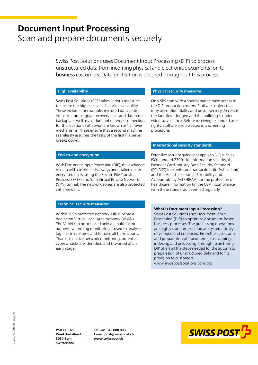### **Document Input Processing** Scan and prepare documents securely

Swiss Post Solutions uses Document Input Processing (DIP) to process unstructured data from incoming physical and electronic documents for its business customers. Data protection is ensured throughout this process.

#### **High availability**

Swiss Post Solutions (SPS) takes various measures to ensure the highest level of service availability. These include, for example, mirrored data center infrastructure, regular recovery tests and database backups, as well as a redundant network connection for the locations with what are known as 'fail-over' mechanisms. These ensure that a second machine seamlessly assumes the tasks of the first if a server breaks down.

#### **End-to-end encryption**

With Document Input Processing (DIP), the exchange of data with customers is always undertaken on an encrypted basis, using the Secure File Transfer Protocol (SFTP) and/or a Virtual Private Network (VPN) tunnel. The network zones are also protected with firewalls.

#### **Technical security measures**

Within SPS's protected network, DIP runs via a dedicated Virtual Local Area Network (VLAN). The VLAN can be accessed only via multi-factor authentication. Log monitoring is used to analyse log files in real time and to trace all transactions. Thanks to active network monitoring, potential cyber attacks are identified and thwarted at an early stage.

#### **Physical security measures**

Only SPS staff with a special badge have access to the DIP production rooms. Staff are subject to a duty of confidentiality and postal secrecy. Access to the facilities is logged and the building is under video surveillance. Before receiving expanded user rights, staff are also assessed in a screening procedure.

#### **International security standards**

Extensive security guidelines apply to DIP, such as ISO standard 27001 for information security, the Payment Card Industry Data Security Standard (PCI DSS) for credit card transactions (in Switzerland) and the Health Insurance Portability and Accountability Act (HIPAA) for the protection of healthcare information (in the USA). Compliance with these standards is verified regularly.

#### **What is Document Input Processing?**

Swiss Post Solutions uses Document Input Processing (DIP) to optimize document-based business processes. The processing operations are highly standardized and are systematically developed and enhanced. From the acceptance and preparation of documents, to scanning, indexing and processing, through to archiving, DIP offers all the steps needed for the automatic preparation of unstructured data and for its provision to customers. [www.swisspostsolutions.com/dip](https://www.swisspostsolutions.com/en/solutions/what/document-processing-services)

2020-072 (InfoSec) 05.2021 2020-072 (InfoSec) 05.2021

**Post CH Ltd Wankdorfallee 4 3030 Bern Switzerland**

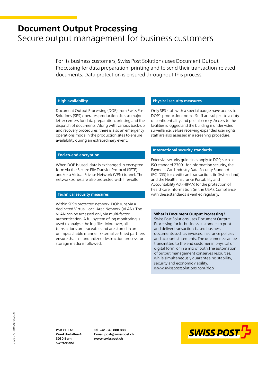### **Document Output Processing** Secure output management for business customers

For its business customers, Swiss Post Solutions uses Document Output Processing for data preparation, printing and to send their transaction-related documents. Data protection is ensured throughout this process.

#### **High availability**

Document Output Processing (DOP) from Swiss Post Solutions (SPS) operates production sites at major letter centers for data preparation, printing and the dispatch of documents. Along with various back-up and recovery procedures, there is also an emergency operations mode in the production sites to ensure availability during an extraordinary event.

#### **End-to-end encryption**

When DOP is used, data is exchanged in encrypted form via the Secure File Transfer Protocol (SFTP) and/or a Virtual Private Network (VPN) tunnel. The network zones are also protected with firewalls.

#### **Technical security measures**

Within SPS's protected network, DOP runs via a dedicated Virtual Local Area Network (VLAN). The VLAN can be accessed only via multi-factor authentication. A full system of log monitoring is used to analyse the log files. Moreover, all transactions are traceable and are stored in an unimpeachable manner. External certified partners ensure that a standardized destruction process for storage media is followed.

#### **Physical security measures**

Only SPS staff with a special badge have access to DOP's production rooms. Staff are subject to a duty of confidentiality and postalsecrecy. Access to the facilities is logged and the building is under video surveillance. Before receiving expanded user rights, staff are also assessed in a screening procedure.

#### **International security standards**

Extensive security guidelines apply to DOP, such as ISO standard 27001 for information security, the Payment Card Industry Data Security Standard (PCI DSS) for credit card transactions (in Switzerland) and the Health Insurance Portability and Accountability Act (HIPAA) for the protection of healthcare information (in the USA). Compliance with these standards is verified regularly.

#### **What is Document Output Processing?**

Swiss Post Solutions uses Document Output Processing for its business customers to print and deliver transaction-based business documents such as invoices, insurance policies and account statements. The documents can be transmitted to the end customer in physical or digital form, or in a mix of both.The automation of output management conserves resources, while simultaneously guaranteeing stability, security and economic viability. [www.swisspostsolutions.com/dop](https://www.swisspostsolutions.com/en/solutions/what/output-management-services)

2020-072 (InfoSec) 05.2021 2020-072 (InfoSec) 05.2021

**Post CH Ltd Wankdorfallee 4 3030 Bern Switzerland**